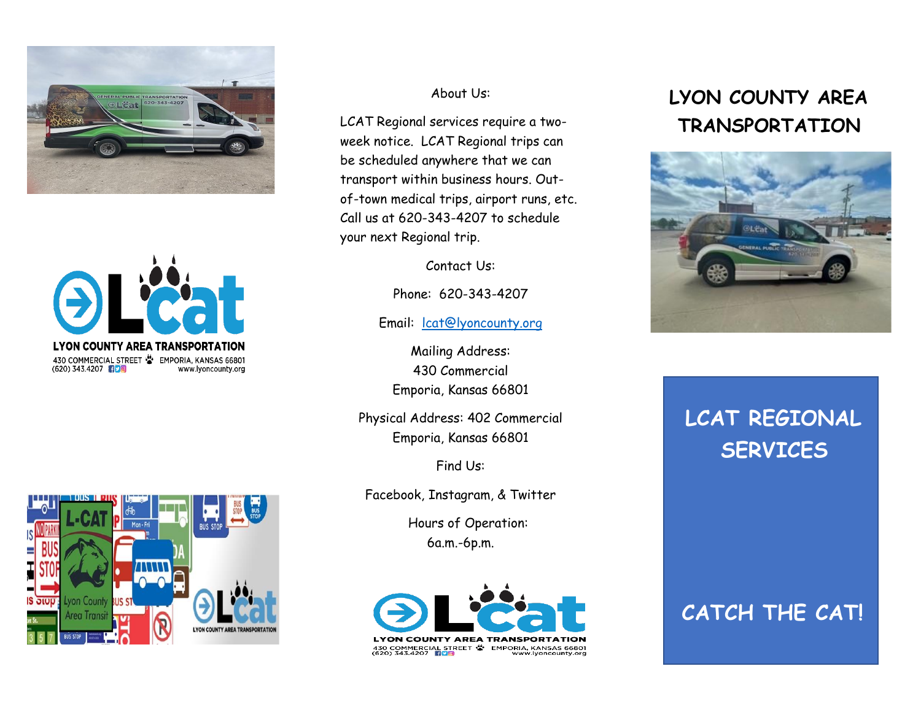



### About Us:

LCAT Regional services require a twoweek notice. LCAT Regional trips can be scheduled anywhere that we can transport within business hours. Outof-town medical trips, airport runs, etc. Call us at 620-343-4207 to schedule your next Regional trip.

Contact Us:

Phone: 620-343-4207

Email: **[lcat@lyoncounty.org](mailto:lcat@lyoncounty.org)** 

Mailing Address: 430 Commercial Emporia, Kansas 66801

Physical Address: 402 Commercial Emporia, Kansas 66801

Find Us:

Facebook, Instagram, & Twitter

 Hours of Operation: 6a.m.-6p.m.



# **LYON COUNTY AREA TRANSPORTATION**



# **LCAT REGIONAL SERVICES**

## **CATCH THE CAT!**